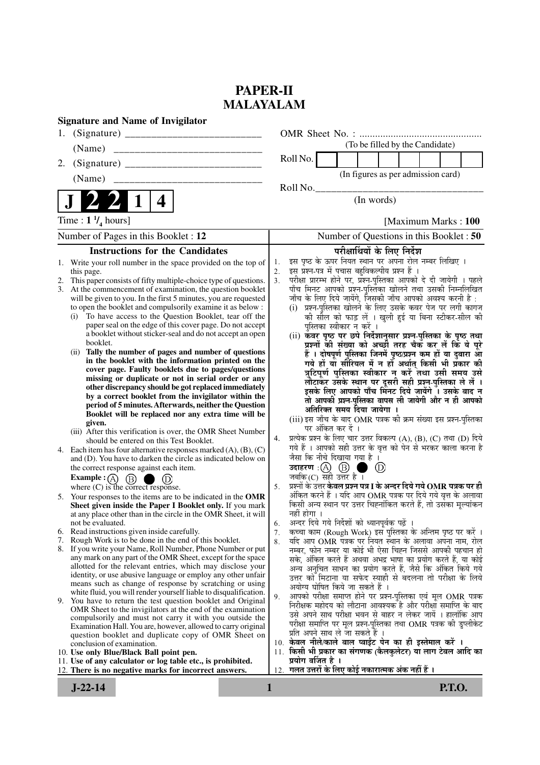# **PAPER-II MALAYALAM**

|    | <b>Signature and Name of Invigilator</b>                                                                                    |          |                                                                                                                                |
|----|-----------------------------------------------------------------------------------------------------------------------------|----------|--------------------------------------------------------------------------------------------------------------------------------|
|    |                                                                                                                             |          |                                                                                                                                |
|    | (Name)                                                                                                                      |          | (To be filled by the Candidate)                                                                                                |
| 2. |                                                                                                                             |          | Roll No.                                                                                                                       |
|    | (Name)                                                                                                                      |          | (In figures as per admission card)                                                                                             |
|    |                                                                                                                             |          | Roll No.                                                                                                                       |
|    | 4                                                                                                                           |          | (In words)                                                                                                                     |
|    | Time : $1 \frac{1}{4}$ hours]                                                                                               |          | [Maximum Marks: 100]                                                                                                           |
|    | Number of Pages in this Booklet : 12                                                                                        |          | Number of Questions in this Booklet : 50                                                                                       |
|    | <b>Instructions for the Candidates</b>                                                                                      |          | परीक्षार्थियों के लिए निर्देश                                                                                                  |
|    | 1. Write your roll number in the space provided on the top of                                                               | 1.       | इस पृष्ठ के ऊपर नियत स्थान पर अपना रोल नम्बर लिखिए ।                                                                           |
|    | this page.                                                                                                                  | 2.       | इस प्रश्न-पत्र में पचास बहुविकल्पीय प्रश्न हैं ।                                                                               |
| 3. | This paper consists of fifty multiple-choice type of questions.<br>At the commencement of examination, the question booklet | 3.       | परीक्षा प्रारम्भ होने पर, प्रश्न-पुस्तिका आपको दे दी जायेगी । पहले<br>पाँच मिनट आपको प्रश्न-पुस्तिका खोलने तथा उसकी निम्नलिखित |
|    | will be given to you. In the first 5 minutes, you are requested                                                             |          | जाँच के लिए दिये जायेंगे, जिसकी जाँच आपको अवश्य करनी है :                                                                      |
|    | to open the booklet and compulsorily examine it as below :                                                                  |          | (i) प्रश्न-पुस्तिका खोलने के लिए उसके कवर पेज पर लगी कागज                                                                      |
|    | To have access to the Question Booklet, tear off the<br>(i)                                                                 |          | की सील को फाड़ लें । खुली हुई या बिना स्टीकर-सील की                                                                            |
|    | paper seal on the edge of this cover page. Do not accept<br>a booklet without sticker-seal and do not accept an open        |          | पुस्तिका स्वीकार न करें ।                                                                                                      |
|    | booklet.                                                                                                                    |          | (ii) कवर पृष्ठ पर छपे निर्देशानुसार प्रश्न-पुस्तिका के पृष्ठ तथा<br>प्रश्नों की संख्या को अच्छी तरह चैक कर लें कि ये पूरे      |
|    | (ii) Tally the number of pages and number of questions                                                                      |          | हैं । दोषपूर्ण पुस्तिका जिनमें पृष्ठ/प्रश्न कम हों या दुबारा आँ                                                                |
|    | in the booklet with the information printed on the                                                                          |          | गये हों या सीरियल में न हों अर्थात् किसी भी प्रकार की                                                                          |
|    | cover page. Faulty booklets due to pages/questions                                                                          |          | त्रुटिपूर्ण पुस्तिका स्वीकार न करें तथा उसी समय उसे                                                                            |
|    | missing or duplicate or not in serial order or any<br>other discrepancy should be got replaced immediately                  |          | लौटाकर उसके स्थान पर दूसरी सही प्रश्न-पुस्तिका ले लें ।                                                                        |
|    | by a correct booklet from the invigilator within the                                                                        |          | इसके लिए आपको पाँच मिंनट दिये जायेंगे ँ। उसके बाद न<br>तो आपकी प्रश्न-पुस्तिका वापस ली जायेगी और न ही आपको                     |
|    | period of 5 minutes. Afterwards, neither the Question                                                                       |          | अतिरिक्त समय दिया जायेगा ।                                                                                                     |
|    | Booklet will be replaced nor any extra time will be                                                                         |          | (iii) इस जाँच के बाद OMR पत्रक की क्रम संख्या इस प्रश्न-पुस्तिका                                                               |
|    | given.<br>(iii) After this verification is over, the OMR Sheet Number                                                       |          | पर अंकित कर दें ।                                                                                                              |
|    | should be entered on this Test Booklet.                                                                                     | 4.       | प्रत्येक प्रश्न के लिए चार उत्तर विकल्प (A), (B), (C) तथा (D) दिये                                                             |
|    | 4. Each item has four alternative responses marked $(A)$ , $(B)$ , $(C)$                                                    |          | गये हैं । आपको सही उत्तर के वृत्त को पेन से भरकर काला करना है                                                                  |
|    | and (D). You have to darken the circle as indicated below on                                                                |          | जैसा कि नीचे दिखाया गया है ।                                                                                                   |
|    | the correct response against each item.                                                                                     |          | उदाहरण: $(A)$ $(B)$<br>$\circled{D}$<br>जबकि $(C)$ सही उत्तर है ।                                                              |
|    | Example : $(A)$<br>(B)<br>where $(C)$ is the correct response.                                                              | 5.       | प्रश्नों के उत्तर <b>केवल प्रश्न पत्र I के अन्दर दिये गये OMR पत्रक पर ही</b>                                                  |
| 5. | Your responses to the items are to be indicated in the OMR                                                                  |          | अंकित करने हैं । यदि आप OMR पत्रक पर दिये गये वृत्त के अलावा                                                                   |
|    | Sheet given inside the Paper I Booklet only. If you mark                                                                    |          | किसी अन्य स्थान पर उत्तर चिह्नांकित करते हैं, तो उसका मूल्यांकन                                                                |
|    | at any place other than in the circle in the OMR Sheet, it will                                                             |          | नहीं होगा ।                                                                                                                    |
|    | not be evaluated.<br>6. Read instructions given inside carefully.                                                           | 6.<br>7. | अन्दर दिये गये निर्देशों को ध्यानपूर्वक पढ़ें ।<br>कच्चा काम (Rough Work) इस पुस्तिका के अन्तिम पृष्ठ पर करें ।                |
| 7. | Rough Work is to be done in the end of this booklet.                                                                        | 8.       | यदि आप OMR पत्रक पर नियत स्थान के अलावा अपना नाम, रोल                                                                          |
|    | 8. If you write your Name, Roll Number, Phone Number or put                                                                 |          | नम्बर, फोन नम्बर या कोई भी ऐसा चिह्न जिससे आपकी पहचान हो                                                                       |
|    | any mark on any part of the OMR Sheet, except for the space                                                                 |          | सके, अंकित करते हैं अथवा अभद्र भाषा का प्रयोग करते हैं, या कोई                                                                 |
|    | allotted for the relevant entries, which may disclose your<br>identity, or use abusive language or employ any other unfair  |          | अन्य अनुचित साधन का प्रयोग करते हैं, जैसे कि अंकित किये गये                                                                    |
|    | means such as change of response by scratching or using                                                                     |          | उत्तर को मिटाना या सफेद स्याही से बदलना तो परीक्षा के लिये<br>अयोग्य घोषित किये जा सकते हैं ।                                  |
|    | white fluid, you will render yourself liable to disqualification.                                                           | 9.       | आपको परीक्षा समाप्त होने पर प्रश्न-पुस्तिका एवं मूल OMR पत्रक                                                                  |
| 9. | You have to return the test question booklet and Original                                                                   |          | निरीक्षक महोदय को लौटाना आवश्यक है और परीक्षा समाप्ति के बाद                                                                   |
|    | OMR Sheet to the invigilators at the end of the examination<br>compulsorily and must not carry it with you outside the      |          | उसे अपने साथ परीक्षा भवन से बाहर न लेकर जायें । हालांकि आप                                                                     |
|    | Examination Hall. You are, however, allowed to carry original                                                               |          | परीक्षा समाप्ति पर मूल प्रश्न-पुस्तिका तथा OMR पत्रक की डुप्लीकेट                                                              |
|    | question booklet and duplicate copy of OMR Sheet on                                                                         |          | प्रति अपने साथ ले जा सकते हैं ।<br>10. केवल नीले/काले बाल प्वाईंट पेन का ही इस्तेमाल करें ।                                    |
|    | conclusion of examination.<br>10. Use only Blue/Black Ball point pen.                                                       |          | 11. किसी भी प्रकार का संगणक (कैलकुलेटर) या लाग टेबल आदि का                                                                     |
|    | 11. Use of any calculator or log table etc., is prohibited.                                                                 |          | प्रयोग वर्जित है ।                                                                                                             |
|    | 12. There is no negative marks for incorrect answers.                                                                       |          | 12. गलत उत्तरों के लिए कोई नकारात्मक अंक नहीं हैं ।                                                                            |
|    | $J-22-14$                                                                                                                   | 1        | <b>P.T.O.</b>                                                                                                                  |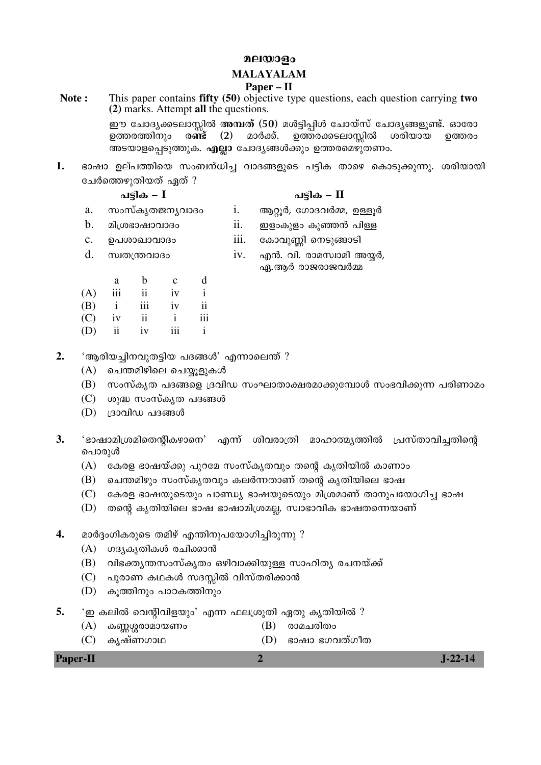### മലയാളം

### **MALAYALAM**

### **Paper – II**

**Note :** This paper contains **fifty (50)** objective type questions, each question carrying **two (2)** marks. Attempt **all** the questions. ഈ ചോദൃക്കടലാസ്സിൽ **അമ്പത് (50**) മൾട്ടിപ്പിൾ ചോയ്സ് ചോദൃങ്ങളുണ്ട്. ഓരോ<br>ഉത്തരത്തിനും ര**ണ്ട് (2)** മാർക്ക്. ഉത്തരക്കടലാസ്പിൽ ശരിയായ ഉത്തരം

ഉത്തരത്തിനും ര**ണ്ട് (2)** മാർക്ക്. ഉത്തരക്കടലാസിൽ ശരിയായ ഉത്തരം അടയാളപ്പെടുത്തുക. എല്ലാ ചോദൃങ്ങൾക്കും ഉത്തരമെഴുതണം.

1. ഭാഷാ ഉല്പത്തിയെ സംബന്ധിച്ച വാദങ്ങളുടെ പട്ടിക താഴെ കൊടുക്കുന്നു. ശരിയായി ചേർത്തെഴുതിയത് ഏത് ?

ãȰ‰ **– I** ãȰ‰ **– II**

- a. സംസ്കൃതജനൃവാദം i. ആറ്റൂർ, ഗോദവർമ്മ, ഉള്ളൂർ
- b. മിശ്രഭാഷാവാദം ii. ഈളാകുളം കുഞ്ഞൻ പിള്ള
- 
- c. "ã«¯Š¯ª¯š¹ iii. ¶‰¯ª²Ë° µœ"²Ä¯"°
- 

 $d.$  സ്വതന്ത്രവാദം  $i$ v. എൻ. വി. രാമസ്വാമി അയർ, ഏ.ആർ രാജരാജവർമ്മ

 a b c d (A) iii ii iv i (B) i iii iv ii  $(C)$  iv ii i iii (D) ii iv iii i

- 2. 'ആരിയച്ചിനവുതട്ടിയ പദങ്ങൾ' എന്നാലെന്ത് ?
	- $(A)$  ചെന്തമിഴിലെ ചെയ്യൂളുകൾ
	- $(B)$  സംസ്കൃത പദങ്ങളെ ദ്രവിഡ സംഘാതാക്ഷരമാക്കുമ്പോൾ സംഭവിക്കുന്ന പരിണാമം
	- $(C)$  ശുദ്ധ സംസ്കൃത പദങ്ങൾ
	- $(D)$   $(33$ വിഡ പദങ്ങൾ
- 3. 'ഭാഷാമിശ്രമിതെന്റികഴാനെ' എന്ന് ശിവരാത്രി മാഹാത്മ്യത്തിൽ പ്രസ്താവിച്ചതിന്റെ പൊരുൾ
	- (A) കേരള ഭാഷയ്ക്കു പുറമേ സംസ്കൃതവും തന്റെ കൃതിയിൽ കാണാം
	- (B) ചെന്തമിഴും സംസ്കൃതവും കലർന്നതാണ് തന്റെ കൃതിയിലെ ഭാഷ
	- $(C)$   $\;$  കേരള ഭാഷയുടെയും പാണ്ഡ്യ ഭാഷയുടെയും മിശ്രമാണ് താനുപയോഗിച്ച ഭാഷ
	- (D) തന്റെ കൃതിയിലെ ഭാഷ ഭാഷാമിശ്രമല്ല, സ്വാഭാവിക ഭാഷതന്നെയാണ്
- $\,$  **4.** മാർദ്ദംഗികരുടെ തമിഴ് എന്തിനുപയോഗിച്ചിരുന്നു ?
	- (A) ഗദൃകൃതികൾ രചിക്കാൻ
	- (B) വിഭക്തൃന്തസംസ്കൃതം ഒഴിവാക്കിയുള്ള സാഹിത്യ രചനയ്ക്ക്
	- (C) പുരാണ കഥകൾ സദസ്സിൽ വിസ്തരിക്കാൻ
	- (D) കുത്തിനും പാഠകത്തിനും
- $5.$  ' ഈ കലിൽ വെന്റിവിളയും' എന്ന ഫലശ്രുതി ഏതു കൃതിയിൽ ?
	- (A) കണ്ണശ്ശരാമായണം (B) രാമചരിതം
	-
	- (C) ‰´¬ ¸—‹¯™ (D) ¢¯¬¯ ¢‹ª˜ ¸‹±˜

### **Paper-II 2 J-22-14**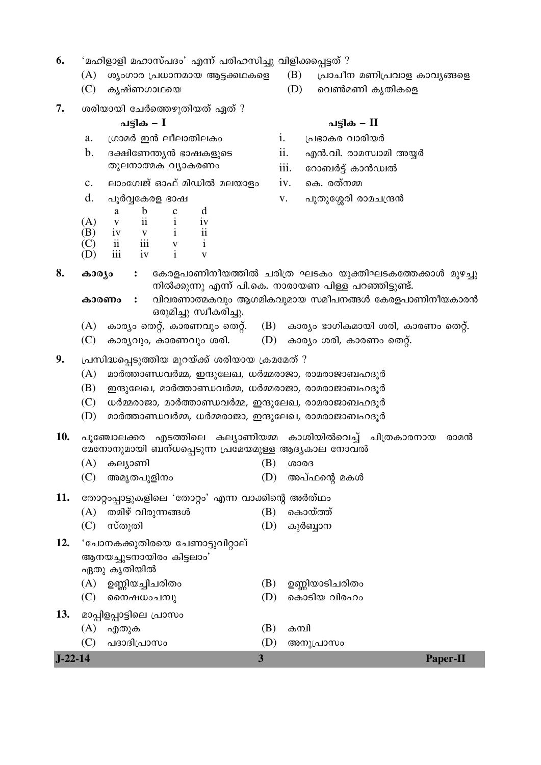- $6.$  'മഹിളാളി മഹാസ്പദം' എന്ന് പരിഹസിച്ചു വിളിക്കപ്പെട്ടത് ?
	-
	-
- 7. ശരിയായി ചേർത്തെഴുതിയത് ഏത് ?

- a. ½‹¯£Ü ƒÏ §±§¯˜°§‰¹ i. ½ã¢¯‰¥ ª¯¥°¤Ü
- ˜²§œ¯÷‰ ª»¯‰¥—¹ iii. ¶¦¯¡ÜÈ ¸ ‰¯Ï•¼Þ
- c. ലാംഗേജ് ഓഫ് മിഡിൽ മലയാളം *iv. കെ.* രത്നമ്മ
- 

|     | а             | b   | с |    |
|-----|---------------|-----|---|----|
| (A) | V             | ii  |   | iv |
| (B) | iv            |     | ٠ | ii |
| (C) | $\mathbf{ii}$ | iii | V |    |
| (D) | iii           | iv  | ٠ |    |

- $(A)$  ശൃംഗാര പ്രധാനമായ ആട്ടക്കഥകളെ  $(B)$  പ്രാചീന മണിപ്രവാള കാവൃങ്ങളെ
- $(C)$  കൃഷ്ണഗാഥയെ  $(D)$  വെൺമണി കൃതികളെ

### ãȰ‰ **– I** ãȰ‰ **– II**

- 
- b. šÀ°¶—Ð»Ï ¢¯¬‰¨²µ" ii. †Ï.ª°. ¥¯£Ÿ¼¯£° ¿ÛÜ
	-
	-
- d. ã³Üⶉ¥¨ ¢¯¬ v. 㲘²¶ä¥° ¥¯£ü½ÑÏ
- $8.$  കാര്യം : കേരളപാണിനീയത്തിൽ ചരിത്ര ഘടകം യുക്തിഘടകത്തേക്കാൾ മുഴച്ചു നിൽക്കുന്നു എന്ന് പി.കെ. നാരായണ പിള്ള പറഞ്ഞിട്ടുണ്ട്.
	- **കാരണം :** വിവരണാത്മകവും ആഗമികവുമായ സമീപനങ്ങൾ കേരളപാണിനീയകാരൻ ഒരുമിച്ചു സ്വീകരിച്ചു.
	- (A) കാര്യം തെറ്റ്, കാരണവും തെറ്റ്.  $(B)$  കാര്യം ഭാഗികമായി ശരി, കാരണം തെറ്റ്.
	- $(C)$  കാര്യവും, കാരണവും ശരി.  $(D)$  കാര്യം ശരി, കാരണം തെറ്റ്.
- 9. പ്രസിദ്ധപ്പെടുത്തിയ മുറയ്ക്ക് ശരിയായ ക്രമമേത് ?
	- $(A)$  മാർത്താണ്ഡവർമ്മ, ഇന്ദുലേഖ, ധർമ്മരാജാ, രാമരാജാബഹദൂർ
	- $(B)$  ഈ ആലേഖ, മാർത്താണ്ഡവർമ്മ, ധർമ്മരാജാ, രാമരാജാബഹദൂർ
	- $(C)$  ധർമ്മരാജാ, മാർത്താണ്ഡവർമ്മ, ഇന്ദുലേഖ, രാമരാജാബഹദൂർ
	- $(D)$  മാർത്താണ്ഡവർമ്മ, ധർമ്മരാജാ, ഇന്ദുലേഖ, രാമരാജാബഹദൂർ

10. പുഞ്ചോലക്കര എടത്തിലെ കല്യാണിയമ്മ കാശിയിൽവെച്ച് ചിത്രകാരനായ രാമൻ മേനോനുമായി ബന്ധപ്പെടുന്ന പ്രമേയമുള്ള ആദ്യകാല നോവൽ

- $(A)$  കല്യാണി  $(B)$  ശാരദ
- (C) ¿£´˜ã²¨°œ¹ (D) ¿ã ¸ýµú £‰à

11. **`** തോറ്റംപ്പാട്ടുകളിലെ 'തോറ്റം' എന്ന വാക്കിന്റെ അർത്ഥം

- $(A)$  തമിഴ് വിരുന്നങ്ങൾ  $(B)$  കൊയ്ത്ത്
- (C) Ÿ¸˜²˜° (D) ‰²ÜÖ¯œ
- 12. 'ചോനകക്കുതിരയെ ചേണാട്ടുവിറ്റാല് ആനയച്ചുടനായിരം കിട്ടലാം' ഏതു കൃതിയിൽ
	- $(A)$  ഉണ്ണിയച്ചിചരിതം  $(B)$  ഉണ്ണിയാടിചരിതം
	- (C) µµœ¬›¹üز (D) µ‰¯"°¤ ª°¥®¹

13. മാപ്പിളപ്പാട്ടിലെ പ്രാസം

- $(A)$  എതുക  $(B)$  കമ്പി
- **J-22-14 3 Paper-II** (C) 㚯š°½ã¯Ÿ¹ (D) ¿œ²½ã¯Ÿ¹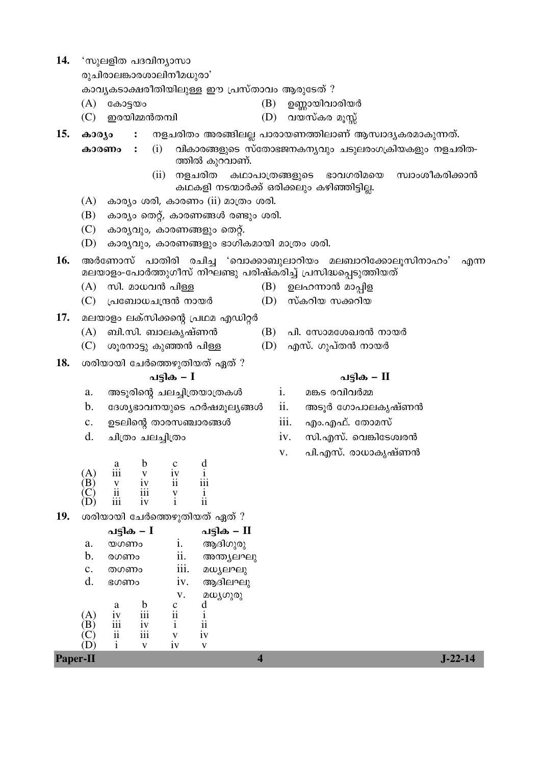14. 'സുലളിത പദവിന്യാസാ

രുചിരാലങ്കാരശാലിനീമധുരാ'

കാവൃകടാക്ഷരീതിയിലുള്ള ഈ പ്രസ്താവം ആരുടേത് ?

 $(A)$  കോട്ടയം

- ഉണ്ണായിവാരിയർ (B) (D) വയസ്കര മൂസ്സ്
- (C) ഇരയിമ്മൻതമ്പി
- 15. കാര്യം നളചരിതം അരങ്ങിലല്ല പാരായണത്തിലാണ് ആസ്വാദ്യകരമാകുന്നത്.  $\ddot{\cdot}$ 
	- $(i)$ വികാരങ്ങളുടെ സ്തോഭജനകനൃവും ചടുലരംഗക്രിയകളും നളചരിത-കാരണം  $\ddot{\cdot}$ ത്തിൽ കുറവാണ്.
		- (ii) നളചരിത കഥാപാത്രങ്ങളുടെ ഭാവഗരിമയെ സ്വാംശീകരിക്കാൻ കഥകളി നടന്മാർക്ക് ഒരിക്കലും കഴിഞ്ഞിട്ടില്ല.
	- $(A)$  കാര്യം ശരി, കാരണം  $(ii)$  മാത്രം ശരി.
	- $(B)$  കാര്യം തെറ്റ്, കാരണങ്ങൾ രണ്ടും ശരി.
	- $(C)$  കാര്യവും, കാരണങ്ങളും തെറ്റ്.
	- $(D)$  കാര്യവും, കാരണങ്ങളും ഭാഗികമായി മാത്രം ശരി.
- $16.$  അർണോസ് പാതിരി രചിച്ച 'വൊക്കാബുലാറിയം മലബാറിക്കോലൂസിനാഹം' എന്ന മലയാളം-പോർത്തുഗീസ് നിഘണ്ടു പരിഷ്കരിച്ച് പ്രസിദ്ധപ്പെടുത്തിയത്
	- $(A)$  സി. മാധവൻ പിള്ള (B)
	- (C) പ്രബോധചന്ദ്രൻ നായർ  $(D)$
- 17. മലയാളം ലക്സിക്കന്റെ പ്രഥമ എഡിറ്റർ
	- $(A)$  ബി.സി. ബാലകൃഷ്ണൻ
	- $(C)$  ശുരനാട്ടു കുഞ്ഞൻ പിള്ള
- 18. ശരിയായി ചേർത്തെഴുതിയത് ഏത് ?

### പട്ടിക –  $I$

- അടൂരിന്റെ ചലച്ചിത്രയാത്രകൾ a.
- $\mathbf{b}$ . ദേശ്യഭാവനയുടെ ഹർഷമൂല്യങ്ങൾ
- c. ഉടലിന്റെ താരസഞ്ചാരങ്ങൾ
- $\mathbf{d}$ . ചിത്രം ചലച്ചിത്രം

Pap

| $(A)$<br>$(B)$<br>$(C)$<br>$(D)$ | a<br>111<br>V<br>$\ddot{a}$<br>111 | b<br>v<br>iv<br>111<br>İV | с<br>iv<br>11<br>V | d<br>111<br>11 |
|----------------------------------|------------------------------------|---------------------------|--------------------|----------------|
|----------------------------------|------------------------------------|---------------------------|--------------------|----------------|

 $19.$  ശരിയായി ചേർത്തെഴുതിയത് ഏത് ?

|       |      | പട്ടിക – I |      | പട്ടിക – II |
|-------|------|------------|------|-------------|
| a.    | യഗണം |            | i.   | ആദിഗുരു     |
| b.    | രഗണം |            | ii.  | അന്ത്യലഘു   |
| c.    | തഗണം |            | 111. | മധ്യലഘു     |
| d.    | ഭഗണം |            | 1V.  | ആദിലഘു      |
|       |      |            | v.   | മധ്യഗുരു    |
|       | a    | h          | с    | d           |
| (A)   | 1V   | iii        | ii   |             |
| в     | iii  | iv         | i    | ii          |
|       | ii   | iii        | V    | iv          |
|       | 1    | v          | 1V   | V           |
| er-11 |      |            |      |             |

- ഉലഹന്നാൻ മാപ്പിള
- സ്കറിയ സക്കറിയ
- പി. സോമശേഖരൻ നായർ
- (D) എസ്. ഗുപ്തൻ നായർ
	-
	- i. മങ്കട രവിവർമ്മ
	- ii. അടൂർ ഗോപാലകൃഷ്ണൻ
	- iii. എം.എഫ്. തോമസ്
	- സി.എസ്. വെങ്കിടേശ്വരൻ iv.
	- പി.എസ്. രാധാകൃഷ്ണൻ  $V_{\star}$

 $J-22-14$ 

- പടിക II
- 
- (B)
	-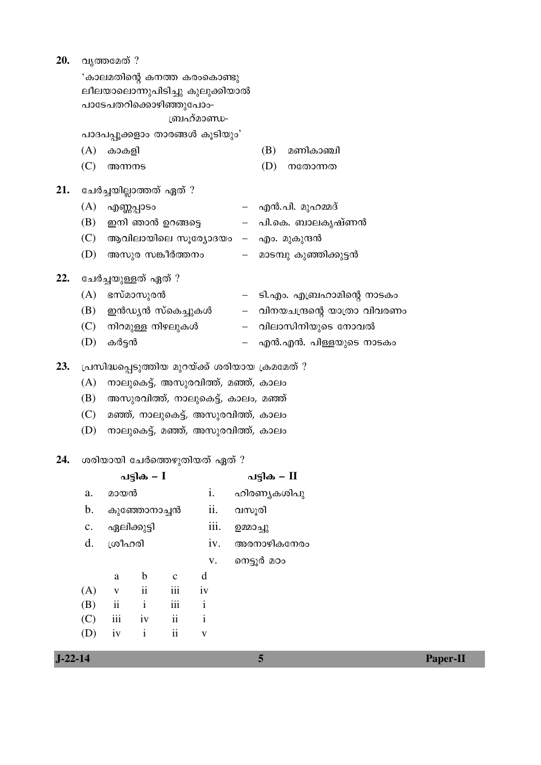| 20. |                              | വൃത്തമേത് ?                                                                |                     |                         |                                                 |           |             |                                                        |  |  |  |  |  |
|-----|------------------------------|----------------------------------------------------------------------------|---------------------|-------------------------|-------------------------------------------------|-----------|-------------|--------------------------------------------------------|--|--|--|--|--|
|     |                              | 'കാലമതിന്റെ കനത്ത കരാകൊണ്ടു                                                |                     |                         |                                                 |           |             |                                                        |  |  |  |  |  |
|     |                              | ലീലയാലൊന്നുപിടിച്ചു കുലുക്കിയാൽ                                            |                     |                         |                                                 |           |             |                                                        |  |  |  |  |  |
|     |                              | പാടേപതറിക്കൊഴിഞ്ഞുപോം-                                                     |                     |                         |                                                 |           |             |                                                        |  |  |  |  |  |
|     |                              | ബ്രഹ്മാണ്ഡ-<br>പാദപപ്പൂക്കളാം താരങ്ങൾ കൂടിയും'                             |                     |                         |                                                 |           |             |                                                        |  |  |  |  |  |
|     |                              |                                                                            |                     |                         |                                                 |           |             |                                                        |  |  |  |  |  |
|     | (A)                          | കാകളി                                                                      |                     |                         |                                                 |           | (B)         | മണികാഞ്ചി                                              |  |  |  |  |  |
|     | (C)                          | അന്നനട                                                                     |                     |                         |                                                 |           | (D)         | നതോന്നത                                                |  |  |  |  |  |
| 21. |                              |                                                                            |                     | ചേർച്ചയില്ലാത്തത് ഏത് ? |                                                 |           |             |                                                        |  |  |  |  |  |
|     | (A)                          | എണ്ണപ്പാടം                                                                 |                     |                         |                                                 |           |             | – എൻ.പി. മുഹമ്മദ്                                      |  |  |  |  |  |
|     | (B)                          |                                                                            |                     | ഇനി ഞാൻ ഉറങ്ങട്ടെ       |                                                 |           |             | – പി.കെ. ബാലകൃഷ്ണൻ                                     |  |  |  |  |  |
|     |                              |                                                                            |                     |                         |                                                 |           |             | (C) ആവിലായിലെ സൂര്യോദയം – എം. മുകുന്ദൻ                 |  |  |  |  |  |
|     | (D)                          |                                                                            |                     |                         |                                                 |           |             | അസുര സങ്കീർത്തനം           –    മാടമ്പു കുഞ്ഞിക്കുട്ടൻ |  |  |  |  |  |
| 22. |                              | ചേർച്ചയുള്ളത് ഏത് ?                                                        |                     |                         |                                                 |           |             |                                                        |  |  |  |  |  |
|     | (A)                          |                                                                            | ഭസ്മാസുരൻ           |                         |                                                 |           |             | – ടി.എം. എബ്രഹാമിന്റെ നാടകം                            |  |  |  |  |  |
|     | (B)                          |                                                                            |                     |                         | ഇൻഡൃൻ സ്കെച്ചുകൾ                                |           |             | – വിനയചന്ദ്രന്റെ യാത്രാ വിവരണം                         |  |  |  |  |  |
|     |                              |                                                                            |                     | (C) നിറമുള്ള നിഴലുകൾ    |                                                 |           |             | – വിലാസിനിയുടെ നോവൽ                                    |  |  |  |  |  |
|     | (D)                          | കർട്ടൻ                                                                     |                     |                         |                                                 |           |             | –   എൻ.എൻ. പിള്ളയുടെ നാടകം                             |  |  |  |  |  |
| 23. |                              |                                                                            |                     |                         | പ്രസിദ്ധപ്പെടുത്തിയ മുറയ്ക്ക് ശരിയായ ക്രമമേത് ? |           |             |                                                        |  |  |  |  |  |
|     | (A)                          |                                                                            |                     |                         | നാലുകെട്ട്, അസുരവിത്ത്, മഞ്ഞ്, കാലം             |           |             |                                                        |  |  |  |  |  |
|     | (B)                          |                                                                            |                     |                         |                                                 |           |             |                                                        |  |  |  |  |  |
|     | (C)                          | അസുരവിത്ത്, നാലുകെട്ട്, കാലം, മഞ്ഞ്<br>മഞ്ഞ്, നാലുകെട്ട്, അസുരവിത്ത്, കാലം |                     |                         |                                                 |           |             |                                                        |  |  |  |  |  |
|     | (D)                          |                                                                            |                     |                         | നാലുകെട്ട്, മഞ്ഞ്, അസുരവിത്ത്, കാലം             |           |             |                                                        |  |  |  |  |  |
|     |                              |                                                                            |                     |                         |                                                 |           |             |                                                        |  |  |  |  |  |
| 24. | ശരിയായി ചേർത്തെഴുതിയത് ഏത് ? |                                                                            |                     |                         |                                                 |           |             |                                                        |  |  |  |  |  |
|     |                              |                                                                            | പട്ടിക – $I$        |                         |                                                 |           | പട്ടിക – II |                                                        |  |  |  |  |  |
|     | a.                           | മായൻ                                                                       |                     |                         | i.                                              |           | ഹിരണ്യകശിപു |                                                        |  |  |  |  |  |
|     | b.                           |                                                                            | കുഞ്ഞോനാച്ചൻ        |                         | ii.                                             | വസൂരി     |             |                                                        |  |  |  |  |  |
|     | c.                           |                                                                            | ഏലിക്കുട്ടി         |                         | iii.                                            | ഉമ്മാച്ചു |             |                                                        |  |  |  |  |  |
|     | d.                           | ശ്രീഹരി                                                                    |                     |                         | iv.                                             |           |             | അരനാഴികനേരം                                            |  |  |  |  |  |
|     |                              |                                                                            |                     |                         | ${\bf V}$ .                                     |           | നെട്ടൂർ മഠം |                                                        |  |  |  |  |  |
|     |                              | $\rm{a}$                                                                   | $\mathbf b$         | $\mathbf{C}$            | d                                               |           |             |                                                        |  |  |  |  |  |
|     | (A)                          | $\mathbf V$                                                                | $\ddot{\mathbf{i}}$ | iii                     | iv                                              |           |             |                                                        |  |  |  |  |  |
|     | (B)                          | $\rm ii$                                                                   | $\mathbf{i}$        | iii                     | $\mathbf{i}$                                    |           |             |                                                        |  |  |  |  |  |
|     | (C)                          | iii                                                                        | iv                  | $\rm ii$                | $\mathbf{i}$                                    |           |             |                                                        |  |  |  |  |  |
|     | (D)                          | iv                                                                         | $\mathbf{i}$        | $\ddot{\textbf{i}}$     | $\mathbf V$                                     |           |             |                                                        |  |  |  |  |  |
|     |                              |                                                                            |                     |                         |                                                 |           |             |                                                        |  |  |  |  |  |

 $J-22-14$ 

 $\overline{\mathbf{5}}$ 

Paper-II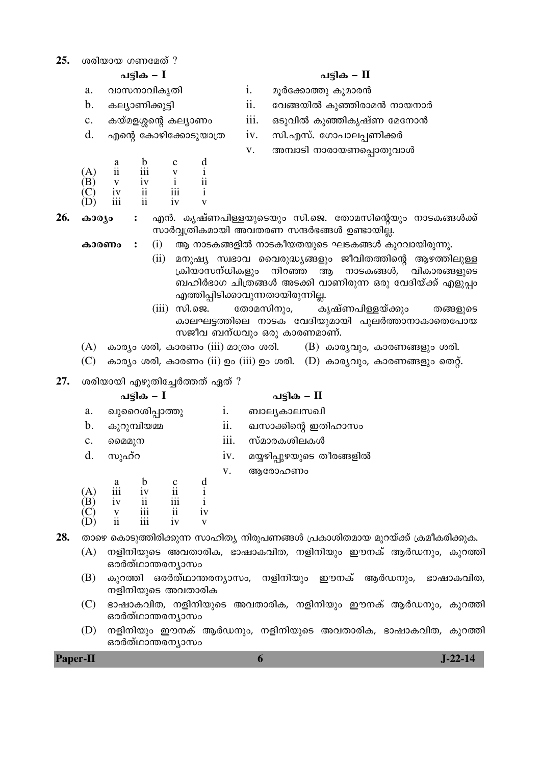| ശരിയായ ഗണമേത് ?<br>25. |  |
|------------------------|--|
|------------------------|--|

- a. വാസനാവികൃതി i. മൂർക്കോത്തു കുമാരൻ
- 
- 
- $d.$  എന്റെ കോഴിക്കോടുയാത്ര $i$  iv.  $\sigma$ സി.എസ്. ഗോപാലപണിക്കർ

| $\mathbf{A}$<br>(B) | а<br>11 | b<br>111<br>iv | $\mathbf c$<br>۲Z | 11 |
|---------------------|---------|----------------|-------------------|----|
| $\mathbf{C}$        | 1V      | 11             | 111               | ٠  |
| D                   | iii     | 11             | ٠<br>1V           |    |

- **26. കാര്യം :** എൻ. കൃഷ്ണപിള്ളയുടെയും സി.ജെ. തോമസിന്റെയും നാടകങ്ങൾക്ക് സാർവ്വത്രികമായി അവതരണ സന്ദർഭങ്ങൾ ഉണ്ടായില്ല.
	- **കാരണം :** (i) ആ നാടകങ്ങളിൽ നാടകീയതയുടെ ഘടകങ്ങൾ കുറവായിരുന്നു.
		- (ii) മനുഷ്യ സ്വഭാവ വൈരുദ്ധ്യങ്ങളും ജീവിതത്തിന്റെ ആഴത്തിലുള്ള<br>കിയാസന്ധികളും നിറഞ്ഞ ആ നാടകങ്ങൾ, വികാരങ്ങളുടെ ക്രിയാസന്ധികളും നിറഞ്ഞ ആ നാടകങ്ങൾ, വികാരങ്ങളുടെ ബഹിർഭാഗ ചിത്രങ്ങൾ അടക്കി വാണിരുന്ന ഒരു വേദിയ്ക്ക് എളുപ്പം എത്തിപ്പിടിക്കാവുന്നതായിരുന്നില്ല.
		- (iii) സി.ജെ. തോമസിനും, കൃഷ്ണപിള്ളയ്ക്കും തങ്ങളുടെ കാലഘട്ടത്തിലെ നാടക വേദിയുമായി പുലർത്താനാകാതെപോയ സജീവ ബന്ധവും ഒരു കാരണമാണ്.
	- $(A)$  കാര്യം ശരി, കാരണം (iii) മാത്രം ശരി.  $(B)$  കാര്യവും, കാരണങ്ങളും ശരി.
	- (C) കാര്യം ശരി, കാരണം (ii) ഉം (iii) ഉം ശരി.  $(D)$  കാര്യവും, കാരണങ്ങളും തെറ്റ്.
- 27. ശരിയായി എഴുതിച്ചേർത്തത് ഏത് ?

## ãȰ‰ **– I** ãȰ‰ **– II** a. ഖുറൈശിപ്പാത്തു i. ബാല്യകാലസഖി b. ‰²¦²Ø°¤Ù ii. ŠŸ¯¾°µú ƒ˜°®¯Ÿ¹ c. µµ££²œ iii. Ÿ¸£¯¥‰«°§‰à d. സുഹ്റ iv. മയ്യഴിപ്പുഴയുടെ തീരങ്ങളിൽ v. ആരോഹണം a b c d (A) iii iv ii i  $(B)$  iv ii iii i

 $(C)$  v iii ii iv (D) ii iii iv v

28. താഴെ കൊടുത്തിരിക്കുന്ന സാഹിത്യ നിരൂപണങ്ങൾ പ്രകാശിതമായ മുറയ്ക്ക് ക്രമീകരിക്കുക.

- (A) നളിനിയുടെ അവതാരിക, ഭാഷാകവിത, നളിനിയും ഈനക് ആർഡനും, കുറത്തി ഒരർത്ഥാന്തരന്യാസം
- (B) കുറത്തി ഒരർത്ഥാന്തരന്യാസം, നളിനിയും ഈനക് ആർഡനും, ഭാഷാകവിത, നളിനിയുടെ അവതാരിക
- (C) ഭാഷാകവിത, നളിനിയുടെ അവതാരിക, നളിനിയും ഈനക് ആർഡനും, കുറത്തി ഒരർത്ഥാന്തരന്യാസം
- (D) നളിനിയും ഈനക് ആർഡനും, നളിനിയുടെ അവതാരിക, ഭാഷാകവിത, കുറത്തി ഒരർത്ഥാന്തരനൃാസം

**Paper-II 6 J-22-14** 

ãȰ‰ **– I** ãȰ‰ **– II**

- 
- b. ‰§»¯—°¾²È° ii. ¶ªÄ¤°Þ ‰²Ç°¥¯£Ï œ¯¤œ¯Ü
- c. ‰¤¸£¨äµú ‰§»¯—¹ iii. ˆ"²ª°Þ ‰²Ç°‰´¬¸— ¶£¶œ¯Ï
	-
	- v. അമ്പാടി നാരായണപ്പൊതുവാൾ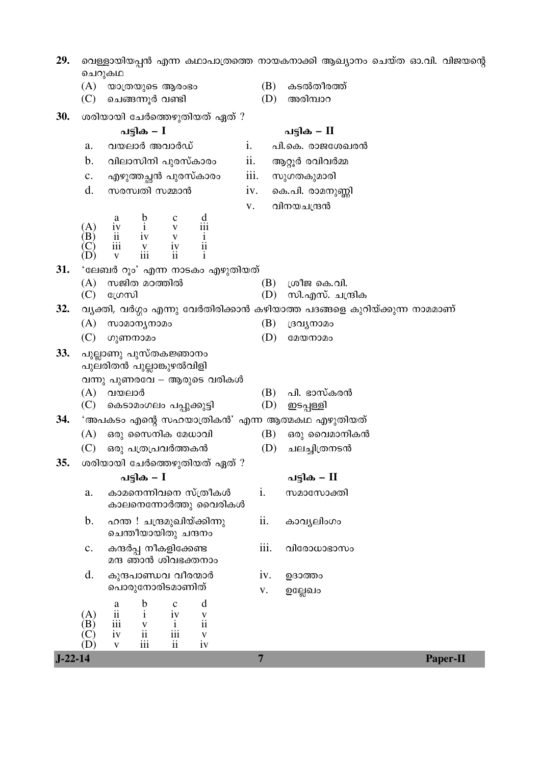| 29.       | ചെറുകഥ                |                                                                                                                                                             |                | വെള്ളായിയപ്പൻ എന്ന കഥാപാത്രത്തെ നായകനാക്കി ആഖ്യാനം ചെയ്ത ഓ.വി. വിജയന്റെ   |
|-----------|-----------------------|-------------------------------------------------------------------------------------------------------------------------------------------------------------|----------------|---------------------------------------------------------------------------|
|           | (A)<br>(C)            | യാത്രയുടെ ആരംഭം<br>ചെങ്ങന്നൂർ വണ്ടി                                                                                                                         | (B)<br>(D)     | കടൽതീരത്ത്<br>അരിമ്പാറ                                                    |
| 30.       |                       | ശരിയായി ചേർത്തെഴുതിയത് ഏത് ?                                                                                                                                |                |                                                                           |
|           |                       | പട്ടിക <i>–</i> I                                                                                                                                           |                | പട്ടിക – II                                                               |
|           | a.                    | i.<br>വയലാർ അവാർഡ്                                                                                                                                          |                | പി.കെ. രാജശേഖരൻ                                                           |
|           | b.                    | വിലാസിനി പുരസ്കാരം                                                                                                                                          | ii.            | ആറ്റൂർ രവിവർമ്മ                                                           |
|           | $\mathbf{c}$ .        | എഴുത്തച്ഛൻ പുരസ്കാരം                                                                                                                                        | iii.           | സുഗതകുമാരി                                                                |
|           | d.                    | സരസ്വതി സമ്മാൻ                                                                                                                                              | iv.            | കെ.പി. രാമനുണ്ണി                                                          |
|           |                       |                                                                                                                                                             | V.             | വിനയചന്ദ്രൻ                                                               |
|           | (A)<br>(B)<br>C       | $\frac{d}{d}$<br>$\begin{tabular}{lllllllllll} a & b & c & d \\ iv & i & v & iii \\ ii & iv & v & i \\ iii & v & iv & ii \\ v & iii & ii & i \end{tabular}$ |                |                                                                           |
| 31.       |                       | 'ലേബർ റൂം' എന്ന നാടകം എഴുതിയത്                                                                                                                              |                |                                                                           |
|           | (A)                   | സജിത മഠത്തിൽ                                                                                                                                                | (B)            | ശ്രീജ കെ.വി.                                                              |
|           | (C)                   | ഗ്രേസി                                                                                                                                                      | (D)            | സി.എസ്. ചന്ദ്രിക                                                          |
| 32.       |                       |                                                                                                                                                             |                | വ്യക്തി, വർഗ്ഗം എന്നു വേർതിരിക്കാൻ കഴിയാത്ത പദങ്ങളെ കുറിയ്ക്കുന്ന നാമമാണ് |
|           | (A)                   | സാമാനൃനാമം                                                                                                                                                  | (B)            | ദ്രവൃനാമം                                                                 |
|           | (C)                   | ഗുണനാമം                                                                                                                                                     | (D)            | മേയനാമം                                                                   |
| 33.       |                       | പുല്ലാണു പുസ്തകജ്ഞാനം<br>പുലരിതൻ പുല്ലാങ്കുഴൽവിളി                                                                                                           |                |                                                                           |
|           |                       | വന്നു പുണരവേ – ആരുടെ വരികൾ                                                                                                                                  |                |                                                                           |
|           | (C)                   | $(A)$ വയലാർ<br>കെടാമംഗലം പപ്പുക്കുട്ടി                                                                                                                      | (B)<br>(D)     | പി. ഭാസ്കരൻ<br>ഇടപ്പള്ളി                                                  |
| 34.       |                       | 'അപകടം എന്റെ സഹയാത്രികൻ' എന്ന ആത്മകഥ എഴുതിയത്                                                                                                               |                |                                                                           |
|           | (A)                   | ഒരു സൈനിക മേധാവി                                                                                                                                            | (B)            | ഒരു വൈമാനികൻ                                                              |
|           | (C)                   | ഒരു പത്രപ്രവർത്തകൻ                                                                                                                                          | (D)            | ചലച്ചിത്രനടൻ                                                              |
| 35.       |                       | ശരിയായി ചേർത്തെഴുതിയത് ഏത് ?                                                                                                                                |                |                                                                           |
|           |                       | പട്ടിക – $I$                                                                                                                                                |                | പട്ടിക – II                                                               |
|           | a.                    | കാമനെന്നിവനെ സ്ത്രീകൾ<br>കാലനെന്നോർത്തു വൈരികൾ                                                                                                              | i.             | സമാസോക്തി                                                                 |
|           | b.                    | ഹന്ത ! ചന്ദ്രമുഖിയ്ക്കിന്നു<br>ചെന്തീയായിതു ചന്ദനം                                                                                                          | ii.            | കാവ്യലിംഗം                                                                |
|           | $\mathbf{c}$ .        | കന്ദർപ്പ നീകളിക്കേണ്ട<br>മന്ദ ഞാൻ ശിവഭക്തനാം                                                                                                                | iii.           | വിരോധാഭാസം                                                                |
|           | d.                    | കുന്ദപാണ്ഡവ വീരന്മാർ                                                                                                                                        | iv.            | ഉദാത്തം                                                                   |
|           |                       | പൊരുനോരിടമാണിത്                                                                                                                                             | V.             | ഉല്ലേഖം                                                                   |
|           |                       | d<br>$\mathbf b$<br>$\mathbf{C}$<br>a<br>$\rm ii$                                                                                                           |                |                                                                           |
|           | (A)<br>(B)            | $\mathbf{i}$<br>iv<br>$\frac{v}{i}$<br>iii<br>$\mathbf{i}$<br>$\mathbf V$                                                                                   |                |                                                                           |
|           | $(\mathbf{C})$<br>(D) | $\mathbf{ii}$<br>iii<br>iv<br>$\mathbf V$<br>iii<br>$\mathbf{ii}$<br>iv                                                                                     |                |                                                                           |
| $J-22-14$ |                       | $\mathbf V$                                                                                                                                                 | $\overline{7}$ | <b>Paper-II</b>                                                           |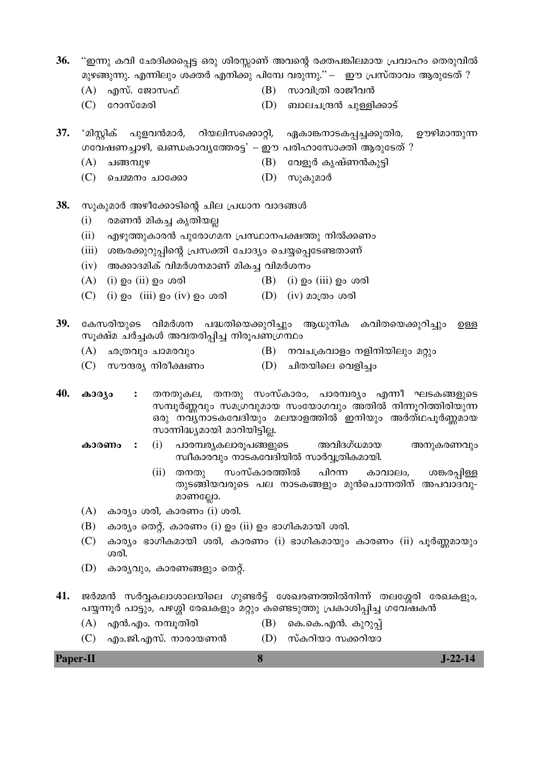- 36. "ഇന്നു കവി ഛേദിക്കപ്പെട്ട ഒരു ശിരസ്സാണ് അവന്റെ രക്തപങ്കിലമായ പ്രവാഹം തെരുവിൽ മുഴങ്ങുന്നു. എന്നിലും ശക്തർ എനിക്കു പിമ്പേ വരുന്നു." — ഈ പ്രസ്താവം ആരുടേത് ?
	- $(A)$  എസ്. ജോസഫ്
- $(B)$  സാവിത്രി രാജീവൻ
- $(C)$  coomed and (D) ബാലചന്ദ്രൻ ചുള്ളിക്കാട്

37. 'മിസ്റ്റിക് പുളവൻമാർ, റിയലിസക്കൊറ്റി, ഏകാങ്കനാടകപ്പച്ചക്കുതിര, ഊഴിമാന്തുന്ന ഗവേഷണച്ചാഴി, ഖണ്ഡകാവൃത്തേരട്ട $^2$  – ഈ പരിഹാസോക്തി ആരുടേത് ?

- $(A)$  ചങ്ങമ്പുഴ (B) വേളൂർ കൃഷ്ണൻകുട്ടി
- (C) ചെമ്മനം ചാക്കോ (D) സുകുമാർ
- 38. സുകുമാർ അഴീക്കോടിന്റെ ചില പ്രധാന വാദങ്ങൾ
	- $(i)$ രമണൻ മികച്ച കൃതിയല്ല
	- $(ii)$ എഴുത്തുകാരൻ പുരോഗമന പ്രസ്ഥാനപക്ഷത്തു നിൽക്കണം
	- (iii) ശങ്കരക്കുറുപ്പിന്റെ പ്രസക്തി ചോദ്യം ചെയ്യപ്പെടേണ്ടതാണ്
	- $(iv)$  അക്കാദമിക് വിമർശനമാണ് മികച്ച വിമർശനം
	- $(A)$  (i)  $Q_0$  (ii)  $Q_0$  ശരി (B)  $(i)$  ഉം  $(iii)$  ഉം ശരി
	- $(C)$  (i) po (iii) po (iv) po ගග (D)  $(iv)$  മാത്രം ശരി
- 39. കേസരിയുടെ വിമർശന പദ്ധതിയെക്കുറിച്ചും ആധുനിക കവിതയെക്കുറിച്ചും ഉള്ള സൂക്ഷ്മ ചർച്ചകൾ അവതരിപ്പിച്ച നിരൂപണഗ്രന്ഥം
	- (A) ഛത്രവും ചാമരവും (B) നവചക്രവാളം നളിനിയിലും മറ്റും
	- (C) സൗന്ദര്യ നിരീക്ഷണം  $(D)$  ചിതയിലെ വെളിച്ചം
- 40. കാര്യം തനതുകല, തനതു സംസ്കാരം, പാരമ്പര്യം എന്നീ ഘടകങ്ങളുടെ  $\ddot{\cdot}$ സമ്പൂർണ്ണവും സമഗ്രവുമായ സംയോഗവും അതിൽ നിന്നൂറിത്തിരിയുന്ന ഒരു നവുനാടകവേദിയും മലയാളത്തിൽ ഇനിയും അർത്ഥപൂർണ്ണമായ സാന്നിദ്ധ്യമായി മാറിയിട്ടില്ല.
	- അവിദഗ്ധമായ കാരണം : (i) പാരമ്പര്യകലാരുപങ്ങളുടെ അനുകരണവും സ്ഥീകാരവും നാടകവേദിയിൽ സാർവ്വത്രികമായി.
		- $(ii)$  തനതു സംസ്കാരത്തിൽ പിറന്ന കാവാലം, ശങ്കരപ്പിള്ള തുടങ്ങിയവരുടെ പല നാടകങ്ങളും മുൻചൊന്നതിന് അപവാദവു-മാണല്ലോ.
	- $(A)$  കാര്യം ശരി, കാരണം  $(i)$  ശരി.
	- $(B)$  കാര്യം തെറ്റ്, കാരണം (i) ഉം (ii) ഉം ഭാഗികമായി ശരി.
	- (C) കാര്യം ഭാഗികമായി ശരി, കാരണം (i) ഭാഗികമായും കാരണം (ii) പൂർണ്ണമായും ശരി.
	- (D) കാര്യവും, കാരണങ്ങളും തെറ്റ്.
- 41. ജർമ്മൻ സർവ്വകലാശാലയിലെ ഗുണ്ടർട്ട് ശേഖരണത്തിൽനിന്ന് തലശ്ശേരി രേഖകളും, പയ്യന്നൂർ പാട്ടും, പഴശ്ശി രേഖകളും മറ്റും കണ്ടെടുത്തു പ്രകാശിപ്പിച്ച ഗവേഷകൻ
	- $(A)$  എൻ.എം. നമ്പൂതിരി (B) കെ.കെ.എൻ. കുറുപ്പ്
	- (D) സ്കറിയാ സക്കറിയാ  $(C)$  എം.ജി.എസ്. നാരായണൻ

 $J-22-14$ **Paper-II**  $\mathbf{8}$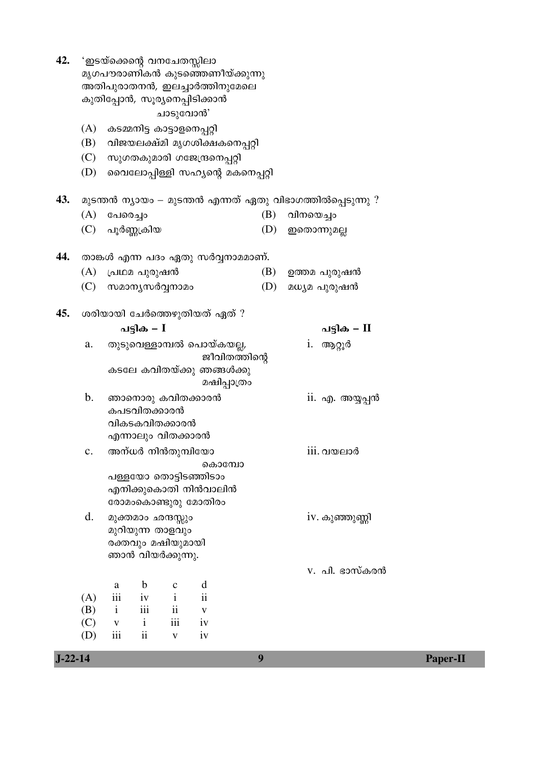| $J - 22 - 14$ |                |                                                                |                 |                                        |                                 | 9                                 |           |                                                            | <b>Paper-II</b> |  |  |
|---------------|----------------|----------------------------------------------------------------|-----------------|----------------------------------------|---------------------------------|-----------------------------------|-----------|------------------------------------------------------------|-----------------|--|--|
|               | (D)            | iii                                                            | ii              | $\mathbf{V}$                           | iv                              |                                   |           |                                                            |                 |  |  |
|               | (C)            | $\mathbf{V}$                                                   | $\mathbf{i}$    | iii                                    | iv                              |                                   |           |                                                            |                 |  |  |
|               | (B)            | $\mathbf{i}$                                                   | iii             | $\rm ii$                               | $\mathbf{V}$                    |                                   |           |                                                            |                 |  |  |
|               | (A)            | iii                                                            | iv              | $\mathbf{i}$                           | $\mathbf{ii}$                   |                                   |           |                                                            |                 |  |  |
|               |                | a                                                              | b               | $\mathbf c$                            | d                               |                                   |           |                                                            |                 |  |  |
|               |                |                                                                |                 |                                        |                                 |                                   |           | v. പി. ഭാസ്കരൻ                                             |                 |  |  |
|               |                |                                                                |                 | രക്തവും മഷിയുമായി<br>ഞാൻ വിയർക്കുന്നു. |                                 |                                   |           |                                                            |                 |  |  |
|               |                |                                                                |                 | മുറിയുന്ന താളവും                       |                                 |                                   |           |                                                            |                 |  |  |
|               | d.             |                                                                |                 | മുക്തമാം ഛന്ദസ്സും                     |                                 |                                   |           | iv. കുഞ്ഞുണ്ണി                                             |                 |  |  |
|               |                |                                                                |                 |                                        | രോമംകൊണ്ടുരു മോതിരം             |                                   |           |                                                            |                 |  |  |
|               |                |                                                                |                 |                                        | എനിക്കുകൊതി നിൻവാലിൻ            |                                   |           |                                                            |                 |  |  |
|               |                |                                                                |                 |                                        | കൊമ്പോ<br>പള്ളയോ തൊട്ടിടഞ്ഞിടാം |                                   |           |                                                            |                 |  |  |
|               | $\mathbf{c}$ . |                                                                |                 | അന്ധർ നിൻതുമ്പിയോ                      |                                 |                                   |           | $\overline{\text{iii}}$ . വയലാർ                            |                 |  |  |
|               |                |                                                                |                 | എന്നാലും വിതക്കാരൻ                     |                                 |                                   |           |                                                            |                 |  |  |
|               |                |                                                                |                 | വികടകവിതക്കാരൻ                         |                                 |                                   |           |                                                            |                 |  |  |
|               |                |                                                                | കപടവിതക്കാരൻ    |                                        |                                 |                                   |           |                                                            |                 |  |  |
|               | b.             |                                                                |                 |                                        | ഞാനൊരു കവിതക്കാരൻ               |                                   |           | ii. എ. അയ്യപ്പൻ                                            |                 |  |  |
|               |                |                                                                |                 |                                        | കടലേ കവിതയ്ക്കു ഞങ്ങൾക്കു       | മഷിപ്പാത്രം                       |           |                                                            |                 |  |  |
|               |                |                                                                |                 |                                        |                                 | ജീവിതത്തിന്റെ                     |           |                                                            |                 |  |  |
|               | a.             |                                                                |                 |                                        | തുടുവെള്ളാമ്പൽ പൊയ്കയല്ല,       |                                   | 1.        | ആറ്റൂർ                                                     |                 |  |  |
|               |                |                                                                | പട്ടിക – $I$    |                                        |                                 |                                   |           | പട്ടിക – II                                                |                 |  |  |
| 45.           |                |                                                                |                 |                                        | ശരിയായി ചേർത്തെഴുതിയത് ഏത് ?    |                                   |           |                                                            |                 |  |  |
|               |                |                                                                |                 |                                        |                                 |                                   |           |                                                            |                 |  |  |
|               | (C)            |                                                                |                 | സമാനൃസർവ്വനാമം                         |                                 | (D)                               |           | മധ്യമ പുരുഷൻ                                               |                 |  |  |
|               | (A)            |                                                                | പ്രഥമ പുരുഷൻ    |                                        |                                 | (B)                               |           | ഉത്തമ പുരുഷൻ                                               |                 |  |  |
| 44.           |                |                                                                |                 |                                        |                                 | താങ്കൾ എന്ന പദം ഏതു സർവ്വനാമമാണ്. |           |                                                            |                 |  |  |
|               |                |                                                                | (C) പൂർണ്ണക്രിയ |                                        |                                 | (D)                               |           | ഇതൊന്നുമല്ല                                                |                 |  |  |
|               | (A)            | പേരെച്ചാ                                                       |                 |                                        |                                 | (B)                               | വിനയെച്ചം |                                                            |                 |  |  |
| 43.           |                |                                                                |                 |                                        |                                 |                                   |           | മുടന്തൻ ന്യായം — മുടന്തൻ എന്നത് ഏതു വിഭാഗത്തിൽപ്പെടുന്നു ? |                 |  |  |
|               |                |                                                                |                 |                                        |                                 |                                   |           |                                                            |                 |  |  |
|               | (D)            |                                                                |                 |                                        |                                 | വൈലോപ്പിള്ളി സഹ്യന്റെ മകനെപ്പറ്റി |           |                                                            |                 |  |  |
|               | (C)            |                                                                |                 |                                        | സുഗതകുമാരി ഗജേന്ദ്രനെപ്പറ്റി    | വിജയലക്ഷ്മി മൃഗശിക്ഷകനെപ്പറ്റി    |           |                                                            |                 |  |  |
|               | (A)<br>(B)     |                                                                |                 | കടമ്മനിട്ട കാട്ടാളനെപ്പറ്റി            |                                 |                                   |           |                                                            |                 |  |  |
|               |                |                                                                |                 | ചാടുവോൻ'                               |                                 |                                   |           |                                                            |                 |  |  |
|               |                |                                                                |                 |                                        |                                 |                                   |           |                                                            |                 |  |  |
|               |                | അതിപുരാതനൻ, ഇലച്ചാർത്തിനുമേലെ<br>കുതിപ്പോൻ, സൂര്യനെപ്പിടിക്കാൻ |                 |                                        |                                 |                                   |           |                                                            |                 |  |  |
|               |                | 'ഇടയ്ക്കെന്റെ വനചേതസ്സിലാ<br>മൃഗപൗരാണികൻ കുടഞ്ഞെണീയ്ക്കുന്നു   |                 |                                        |                                 |                                   |           |                                                            |                 |  |  |
| 42.           |                |                                                                |                 |                                        |                                 |                                   |           |                                                            |                 |  |  |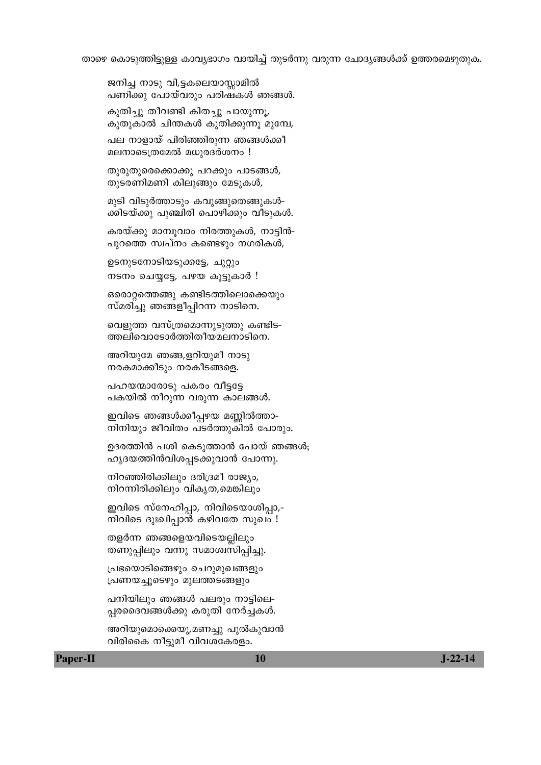താഴെ കൊടുത്തിട്ടുള്ള കാവൃഭാഗം വായിച്ച് തുടർന്നു വരുന്ന ചോദ്യങ്ങൾക്ക് ഉത്തരമെഴുതുക.

```
ജനിച്ച നാടു വി,ട്ടകലെയാസ്സാമിൽ
```
പണിക്കു പോയ്വരും പരിഷകൾ ഞങ്ങൾ.

കുതിച്ചു തീവണ്ടി കിതച്ചു പായുന്നൂ, കുതുകാൽ ചിന്തകൾ കുതിക്കുന്നൂ മുമ്പേ,

പല നാളായ് പിരിഞ്ഞിരുന്ന ഞങ്ങൾക്കീ മലനാടെത്രമേൽ മധുരദർശനം !

തുരുതുരെക്കൊക്കു പറക്കും പാടങ്ങൾ,

തുടരണിമണി കിലുങ്ങും മേടുകൾ,

മുടി വിടുർത്താടും കവുങ്ങുതെങ്ങുകൾ-

കരയ്ക്കു മാമ്പുവാം നിരത്തുകൾ, നാട്ടിൻ-

ക്കിടയ്ക്കു പുഞ്ചിരി പൊഴിക്കും വീടുകൾ.

പുറത്തെ സ്വപ്നം കണ്ടെഴും നഗരികൾ,

ഒരൊറ്റത്തെങ്ങു കണ്ടിടത്തിലൊക്കെയും സ്മരിച്ചു ഞങ്ങളീപ്പിറന്ന നാടിനെ.

വെളുത്ത വസ്ത്രമൊന്നുടുത്തു കണ്ടിട-ത്തലിവൊടോർത്തിതീയമലനാടിനെ.

ഇവിടെ ഞങ്ങൾക്കീപ്പഴയ മണ്ണിൽത്താ-നിനിയും ജീവിതം പടർത്തുകിൽ പോരും.

ഹൃദയത്തിൻവിശപ്പടക്കുവാൻ പോന്നു.

ഇവിടെ സ്നേഹിപ്പാ, നിവിടെയാശിപ്പാ,-നിവിടെ ദുഃഖിപ്പാൻ കഴിവതേ സുഖം !

നിറഞ്ഞിരിക്കിലും ദരിദ്രമീ രാജ്യം, നിറന്നിരിക്കിലും വികൃത,മെങ്കിലും

തളർന്ന ഞങ്ങളെയവിടെയല്ലിലും തണുപ്പിലും വന്നു സമാശ്വസിപ്പിച്ചു.

പ്രഭയൊടിങ്ങെഴും ചെറുമുഖങ്ങളും പ്രണയച്ചൂടെഴും മുലത്തടങ്ങളും

പനിയിലും ഞങ്ങൾ പലരും നാട്ടിലെ-പ്പരദൈവങ്ങൾക്കു കരുതി നേർച്ചകൾ.

അറിയുമൊക്കെയു,മണച്ചു പുൽകുവാൻ

വിരികൈ നീട്ടുമീ വിവശകേരളം.

ഉദരത്തിൻ പശി കെടുത്താൻ പോയ് ഞങ്ങൾ;

അറിയുമേ ഞങ്ങ,ളറിയുമീ നാടു നരകമാക്കീടും നരകീടങ്ങളെ.

പഹയന്മാരോടു പകരം വീട്ടട്ടേ പകയിൽ നീറുന്ന വരുന്ന കാലങ്ങൾ.

ഉടനുടനോടിയടുക്കട്ടേ, ചുറ്റും നടനം ചെയ്യട്ടേ, പഴയ കൂട്ടുകാർ !

**Paper-II** 

10

 $J-22-14$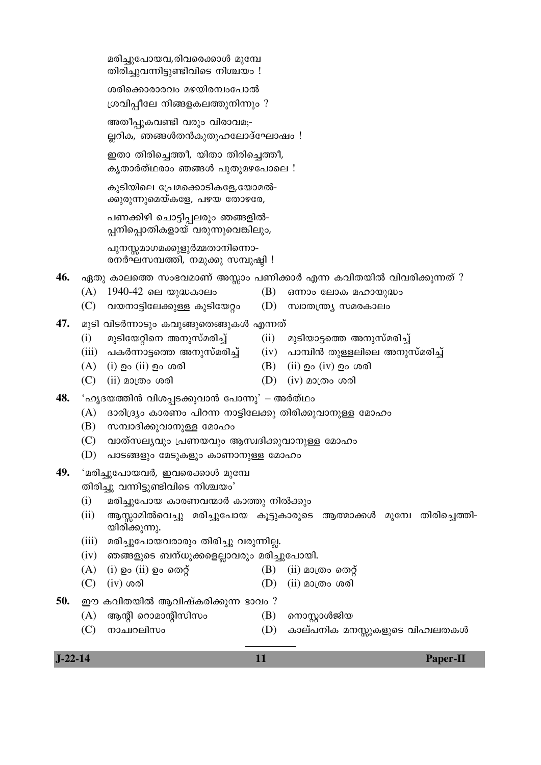| 46. |       |                                                           |      | ഏതു കാലത്തെ സംഭവമാണ് അസ്സാം പണിക്കാർ എന്ന കവിതയിൽ വിവരിക്കുന്നത് ?       |
|-----|-------|-----------------------------------------------------------|------|--------------------------------------------------------------------------|
|     | (A)   | 1940-42 ലെ യുദ്ധകാലം                                      | (B)  | ഒന്നാം ലോക മഹായുദ്ധം                                                     |
|     | (C)   | വയനാട്ടിലേക്കുള്ള കുടിയേറ്റം                              |      | (D) സ്വാതന്ത്ര്യ സമരകാലം                                                 |
| 47. |       | മുടി വിടർന്നാടും കവുങ്ങുതെങ്ങുകൾ എന്നത്                   |      |                                                                          |
|     | (i)   | മുടിയേറ്റിനെ അനുസ്മരിച്ച്                                 | (ii) | മുടിയാട്ടത്തെ അനുസ്മരിച്ച്                                               |
|     | (iii) |                                                           |      | _പകർന്നാട്ടത്തെ അനുസ്മരിച്ച്       (iv)   പാമ്പിൻ തുള്ളലിലെ അനുസ്മരിച്ച് |
|     | (A)   | (i) ഉം (ii) ഉം ശരി                                        |      | (B) (ii) ഉം (iv) ഉം ശരി                                                  |
|     | (C)   | (ii) മാത്രം ശരി                                           |      | $(D)$ (iv) മാത്രം ശരി                                                    |
| 48. |       | 'ഹൃദയത്തിൻ വിശപ്പടക്കുവാൻ പോന്നു' – അർത്ഥം                |      |                                                                          |
|     | (A)   | ദാരിദ്ര്യം കാരണം പിറന്ന നാട്ടിലേക്കു തിരിക്കുവാനുള്ള മോഹം |      |                                                                          |
|     | (B)   | സമ്പാദിക്കുവാനുള്ള മോഹം                                   |      |                                                                          |
|     | (C)   | വാത്സല്യവും പ്രണയവും ആസ്വദിക്കുവാനുള്ള മോഹം               |      |                                                                          |
|     | (D)   | പാടങ്ങളും മേടുകളും കാണാനുള്ള മോഹം                         |      |                                                                          |
| 49. |       | 'മരിച്ചുപോയവർ, ഇവരെക്കാൾ മുമ്പേ                           |      |                                                                          |
|     |       | തിരിച്ചു വന്നിട്ടുണ്ടിവിടെ നിശ്ചയം'                       |      |                                                                          |
|     | (i)   | മരിച്ചുപോയ കാരണവന്മാർ കാത്തു നിൽക്കും                     |      |                                                                          |
|     | (ii)  | യിരിക്കുന്നു.                                             |      | ആസ്സാമിൽവെച്ചു മരിച്ചുപോയ കൂട്ടുകാരുടെ ആത്മാക്കൾ മുമ്പേ തിരിച്ചെത്തി-    |
|     | (iii) | മരിച്ചുപോയവരാരും തിരിച്ചു വരുന്നില്ല.                     |      |                                                                          |
|     | (iv)  | ഞങ്ങളുടെ ബന്ധുക്കളെല്ലാവരും മരിച്ചുപോയി.                  |      |                                                                          |
|     | (A)   | $(i)$ ഉം $(ii)$ ഉം തെറ്റ്                                 | (B)  | $(ii)$ മാത്രം തെറ്റ്                                                     |
|     | (C)   | $(iv)$ ശരി                                                | (D)  | (ii) മാത്രം ശരി                                                          |
| 50. |       | ഈ കവിതയിൽ ആവിഷ്കരിക്കുന്ന ഭാവം ?                          |      |                                                                          |
|     | (A)   | ആന്റി റൊമാന്റിസിസം                                        | (B)  | നൊസ്റ്റാൾജിയ                                                             |
|     | (C)   | നാച്ചറലിസം                                                | (D)  | കാല്പനിക മനസ്സുകളുടെ വിഹിലതകൾ                                            |
|     |       |                                                           |      |                                                                          |

- 
- രനർഘസമ്പത്തി, നമുക്കു സമ്പുഷ്ടി !
	-

പുനസ്സമാഗമക്കുളുർമ്മതാനിന്നൊ-

- മരിച്ചുപോയവ,രിവരെക്കാൾ മുമ്പേ തിരിച്ചുവന്നിട്ടുണ്ടിവിടെ നിശ്ചയം !
	- അതീപ്പുകവണ്ടി വരും വിരാവമ;-
	- ശരിക്കൊരാരവം മഴയിരമ്പംപോൽ ശ്രവിപ്പീലേ നിങ്ങളകലത്തുനിന്നും ?

ല്ലറിക*,* ഞങ്ങൾതൻകുതൂഹലോദ്ഘോഷം !

ഇതാ തിരിച്ചെത്തീ, യിതാ തിരിച്ചെത്തീ, കൃതാർത്ഥരാം ഞങ്ങൾ പുതുമഴപോലെ !

കുടിയിലെ പ്രേമക്കൊടികളേ,യോമൽ-ക്കുരുന്നുമെയ്കളേ, പഴയ തോഴരേ,

പണക്കിഴി ചൊട്ടിപ്പലരും ഞങ്ങളിൽ-പ്പനിപ്പൊതികളായ് വരുന്നുവെങ്കിലും*,* 

- **J-22-14 11 Paper-II**
	-